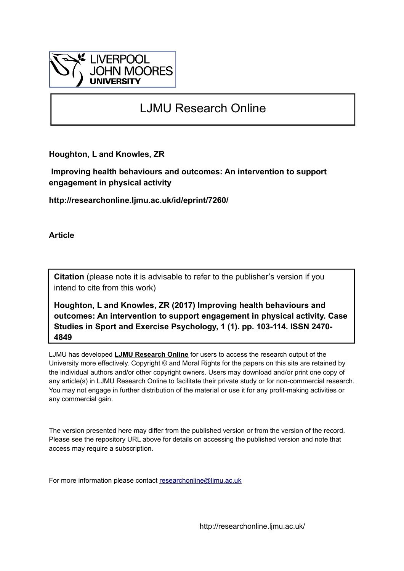

### LJMU Research Online

**Houghton, L and Knowles, ZR**

 **Improving health behaviours and outcomes: An intervention to support engagement in physical activity**

**http://researchonline.ljmu.ac.uk/id/eprint/7260/**

**Article**

**Citation** (please note it is advisable to refer to the publisher's version if you intend to cite from this work)

**Houghton, L and Knowles, ZR (2017) Improving health behaviours and outcomes: An intervention to support engagement in physical activity. Case Studies in Sport and Exercise Psychology, 1 (1). pp. 103-114. ISSN 2470- 4849** 

LJMU has developed **[LJMU Research Online](http://researchonline.ljmu.ac.uk/)** for users to access the research output of the University more effectively. Copyright © and Moral Rights for the papers on this site are retained by the individual authors and/or other copyright owners. Users may download and/or print one copy of any article(s) in LJMU Research Online to facilitate their private study or for non-commercial research. You may not engage in further distribution of the material or use it for any profit-making activities or any commercial gain.

The version presented here may differ from the published version or from the version of the record. Please see the repository URL above for details on accessing the published version and note that access may require a subscription.

For more information please contact [researchonline@ljmu.ac.uk](mailto:researchonline@ljmu.ac.uk)

http://researchonline.ljmu.ac.uk/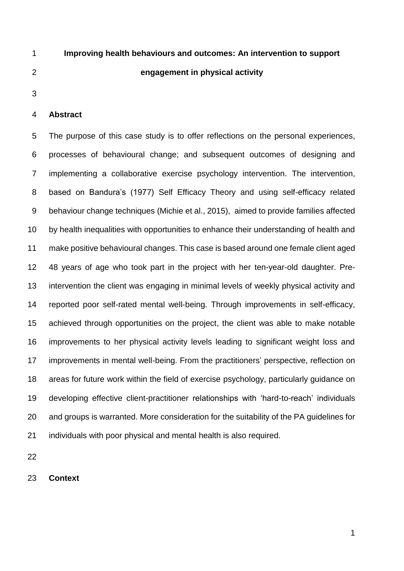# **Improving health behaviours and outcomes: An intervention to support engagement in physical activity**

#### **Abstract**

 The purpose of this case study is to offer reflections on the personal experiences, processes of behavioural change; and subsequent outcomes of designing and implementing a collaborative exercise psychology intervention. The intervention, based on Bandura's (1977) Self Efficacy Theory and using self-efficacy related behaviour change techniques (Michie et al., 2015), aimed to provide families affected by health inequalities with opportunities to enhance their understanding of health and make positive behavioural changes. This case is based around one female client aged 48 years of age who took part in the project with her ten-year-old daughter. Pre- intervention the client was engaging in minimal levels of weekly physical activity and reported poor self-rated mental well-being. Through improvements in self-efficacy, achieved through opportunities on the project, the client was able to make notable improvements to her physical activity levels leading to significant weight loss and improvements in mental well-being. From the practitioners' perspective, reflection on areas for future work within the field of exercise psychology, particularly guidance on developing effective client-practitioner relationships with 'hard-to-reach' individuals and groups is warranted. More consideration for the suitability of the PA guidelines for individuals with poor physical and mental health is also required.

**Context**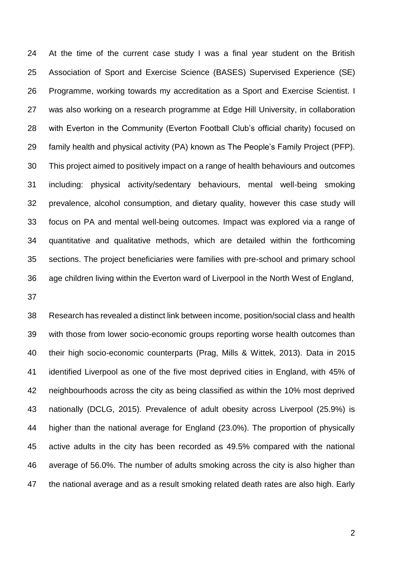At the time of the current case study I was a final year student on the British Association of Sport and Exercise Science (BASES) Supervised Experience (SE) Programme, working towards my accreditation as a Sport and Exercise Scientist. I was also working on a research programme at Edge Hill University, in collaboration with Everton in the Community (Everton Football Club's official charity) focused on family health and physical activity (PA) known as The People's Family Project (PFP). This project aimed to positively impact on a range of health behaviours and outcomes including: physical activity/sedentary behaviours, mental well-being smoking prevalence, alcohol consumption, and dietary quality, however this case study will focus on PA and mental well-being outcomes. Impact was explored via a range of quantitative and qualitative methods, which are detailed within the forthcoming sections. The project beneficiaries were families with pre-school and primary school age children living within the Everton ward of Liverpool in the North West of England,

 Research has revealed a distinct link between income, position/social class and health with those from lower socio-economic groups reporting worse health outcomes than their high socio-economic counterparts (Prag, Mills & Wittek, 2013). Data in 2015 identified Liverpool as one of the five most deprived cities in England, with 45% of neighbourhoods across the city as being classified as within the 10% most deprived nationally (DCLG, 2015). Prevalence of adult obesity across Liverpool (25.9%) is higher than the national average for England (23.0%). The proportion of physically active adults in the city has been recorded as 49.5% compared with the national average of 56.0%. The number of adults smoking across the city is also higher than the national average and as a result smoking related death rates are also high. Early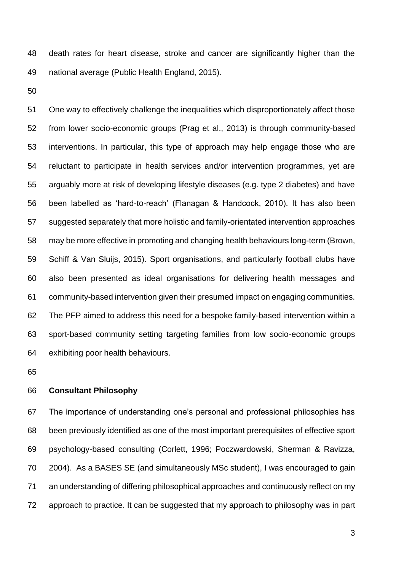death rates for heart disease, stroke and cancer are significantly higher than the national average (Public Health England, 2015).

 One way to effectively challenge the inequalities which disproportionately affect those from lower socio-economic groups (Prag et al., 2013) is through community-based interventions. In particular, this type of approach may help engage those who are reluctant to participate in health services and/or intervention programmes, yet are arguably more at risk of developing lifestyle diseases (e.g. type 2 diabetes) and have been labelled as 'hard-to-reach' (Flanagan & Handcock, 2010). It has also been suggested separately that more holistic and family-orientated intervention approaches may be more effective in promoting and changing health behaviours long-term (Brown, Schiff & Van Sluijs, 2015). Sport organisations, and particularly football clubs have also been presented as ideal organisations for delivering health messages and community-based intervention given their presumed impact on engaging communities. The PFP aimed to address this need for a bespoke family-based intervention within a sport-based community setting targeting families from low socio-economic groups exhibiting poor health behaviours.

### **Consultant Philosophy**

 The importance of understanding one's personal and professional philosophies has been previously identified as one of the most important prerequisites of effective sport psychology-based consulting (Corlett, 1996; Poczwardowski, Sherman & Ravizza, 2004). As a BASES SE (and simultaneously MSc student), I was encouraged to gain an understanding of differing philosophical approaches and continuously reflect on my approach to practice. It can be suggested that my approach to philosophy was in part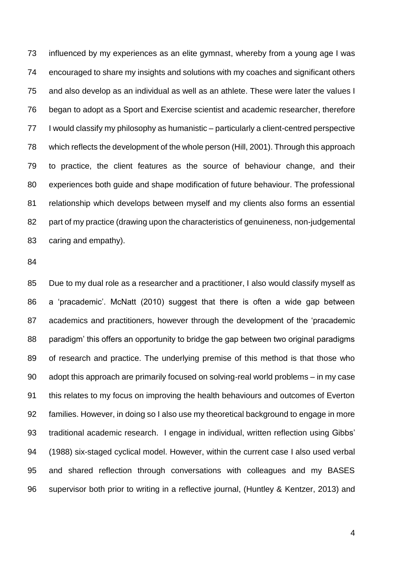influenced by my experiences as an elite gymnast, whereby from a young age I was encouraged to share my insights and solutions with my coaches and significant others and also develop as an individual as well as an athlete. These were later the values I began to adopt as a Sport and Exercise scientist and academic researcher, therefore I would classify my philosophy as humanistic – particularly a client-centred perspective which reflects the development of the whole person (Hill, 2001). Through this approach to practice, the client features as the source of behaviour change, and their experiences both guide and shape modification of future behaviour. The professional relationship which develops between myself and my clients also forms an essential part of my practice (drawing upon the characteristics of genuineness, non-judgemental caring and empathy).

 Due to my dual role as a researcher and a practitioner, I also would classify myself as a 'pracademic'. McNatt (2010) suggest that there is often a wide gap between academics and practitioners, however through the development of the 'pracademic paradigm' this offers an opportunity to bridge the gap between two original paradigms of research and practice. The underlying premise of this method is that those who adopt this approach are primarily focused on solving-real world problems – in my case this relates to my focus on improving the health behaviours and outcomes of Everton families. However, in doing so I also use my theoretical background to engage in more traditional academic research. I engage in individual, written reflection using Gibbs' (1988) six-staged cyclical model. However, within the current case I also used verbal and shared reflection through conversations with colleagues and my BASES supervisor both prior to writing in a reflective journal, (Huntley & Kentzer, 2013) and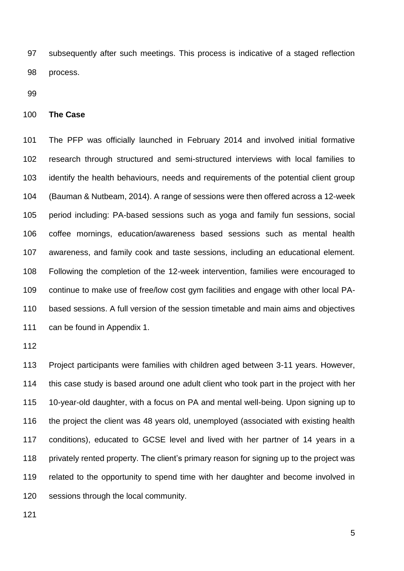subsequently after such meetings. This process is indicative of a staged reflection process.

**The Case** 

 The PFP was officially launched in February 2014 and involved initial formative research through structured and semi-structured interviews with local families to identify the health behaviours, needs and requirements of the potential client group (Bauman & Nutbeam, 2014). A range of sessions were then offered across a 12-week period including: PA-based sessions such as yoga and family fun sessions, social coffee mornings, education/awareness based sessions such as mental health awareness, and family cook and taste sessions, including an educational element. Following the completion of the 12-week intervention, families were encouraged to continue to make use of free/low cost gym facilities and engage with other local PA- based sessions. A full version of the session timetable and main aims and objectives can be found in Appendix 1.

 Project participants were families with children aged between 3-11 years. However, this case study is based around one adult client who took part in the project with her 10-year-old daughter, with a focus on PA and mental well-being. Upon signing up to the project the client was 48 years old, unemployed (associated with existing health conditions), educated to GCSE level and lived with her partner of 14 years in a 118 privately rented property. The client's primary reason for signing up to the project was related to the opportunity to spend time with her daughter and become involved in sessions through the local community.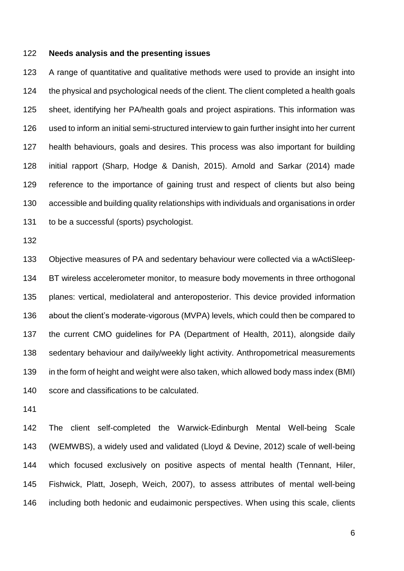#### **Needs analysis and the presenting issues**

 A range of quantitative and qualitative methods were used to provide an insight into the physical and psychological needs of the client. The client completed a health goals sheet, identifying her PA/health goals and project aspirations. This information was used to inform an initial semi-structured interview to gain further insight into her current health behaviours, goals and desires. This process was also important for building initial rapport (Sharp, Hodge & Danish, 2015). Arnold and Sarkar (2014) made reference to the importance of gaining trust and respect of clients but also being accessible and building quality relationships with individuals and organisations in order to be a successful (sports) psychologist.

 Objective measures of PA and sedentary behaviour were collected via a wActiSleep- BT wireless accelerometer monitor, to measure body movements in three orthogonal planes: vertical, mediolateral and anteroposterior. This device provided information about the client's moderate-vigorous (MVPA) levels, which could then be compared to the current CMO guidelines for PA (Department of Health, 2011), alongside daily sedentary behaviour and daily/weekly light activity. Anthropometrical measurements in the form of height and weight were also taken, which allowed body mass index (BMI) score and classifications to be calculated.

 The client self-completed the Warwick-Edinburgh Mental Well-being Scale (WEMWBS), a widely used and validated (Lloyd & Devine, 2012) scale of well-being which focused exclusively on positive aspects of mental health (Tennant, Hiler, Fishwick, Platt, Joseph, Weich, 2007), to assess attributes of mental well-being including both hedonic and eudaimonic perspectives. When using this scale, clients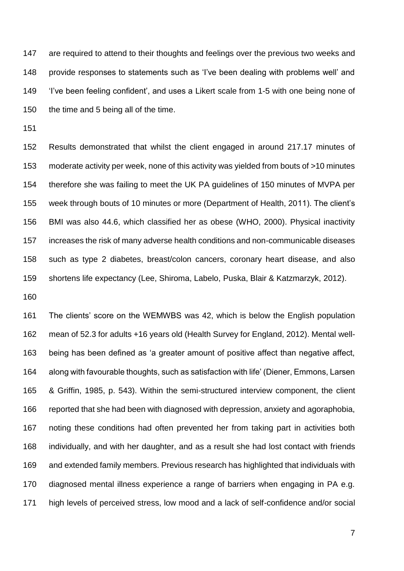are required to attend to their thoughts and feelings over the previous two weeks and provide responses to statements such as 'I've been dealing with problems well' and 'I've been feeling confident', and uses a Likert scale from 1-5 with one being none of the time and 5 being all of the time.

 Results demonstrated that whilst the client engaged in around 217.17 minutes of moderate activity per week, none of this activity was yielded from bouts of >10 minutes therefore she was failing to meet the UK PA guidelines of 150 minutes of MVPA per week through bouts of 10 minutes or more (Department of Health, 2011). The client's BMI was also 44.6, which classified her as obese (WHO, 2000). Physical inactivity increases the risk of many adverse health conditions and non-communicable diseases such as type 2 diabetes, breast/colon cancers, coronary heart disease, and also shortens life expectancy (Lee, Shiroma, Labelo, Puska, Blair & Katzmarzyk, 2012).

 The clients' score on the WEMWBS was 42, which is below the English population mean of 52.3 for adults +16 years old (Health Survey for England, 2012). Mental well- being has been defined as 'a greater amount of positive affect than negative affect, along with favourable thoughts, such as satisfaction with life' (Diener, Emmons, Larsen & Griffin, 1985, p. 543). Within the semi-structured interview component, the client reported that she had been with diagnosed with depression, anxiety and agoraphobia, noting these conditions had often prevented her from taking part in activities both individually, and with her daughter, and as a result she had lost contact with friends and extended family members. Previous research has highlighted that individuals with diagnosed mental illness experience a range of barriers when engaging in PA e.g. high levels of perceived stress, low mood and a lack of self-confidence and/or social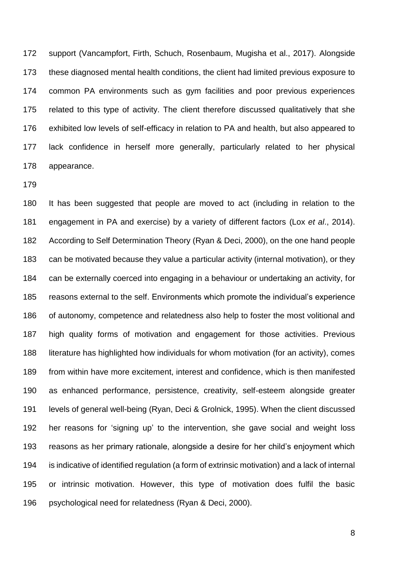support (Vancampfort, Firth, Schuch, Rosenbaum, Mugisha et al., 2017). Alongside these diagnosed mental health conditions, the client had limited previous exposure to common PA environments such as gym facilities and poor previous experiences related to this type of activity. The client therefore discussed qualitatively that she exhibited low levels of self-efficacy in relation to PA and health, but also appeared to lack confidence in herself more generally, particularly related to her physical appearance.

 It has been suggested that people are moved to act (including in relation to the engagement in PA and exercise) by a variety of different factors (Lox *et al*., 2014). According to Self Determination Theory (Ryan & Deci, 2000), on the one hand people can be motivated because they value a particular activity (internal motivation), or they can be externally coerced into engaging in a behaviour or undertaking an activity, for reasons external to the self. Environments which promote the individual's experience of autonomy, competence and relatedness also help to foster the most volitional and high quality forms of motivation and engagement for those activities. Previous literature has highlighted how individuals for whom motivation (for an activity), comes from within have more excitement, interest and confidence, which is then manifested as enhanced performance, persistence, creativity, self-esteem alongside greater levels of general well-being (Ryan, Deci & Grolnick, 1995). When the client discussed her reasons for 'signing up' to the intervention, she gave social and weight loss reasons as her primary rationale, alongside a desire for her child's enjoyment which is indicative of identified regulation (a form of extrinsic motivation) and a lack of internal or intrinsic motivation. However, this type of motivation does fulfil the basic psychological need for relatedness (Ryan & Deci, 2000).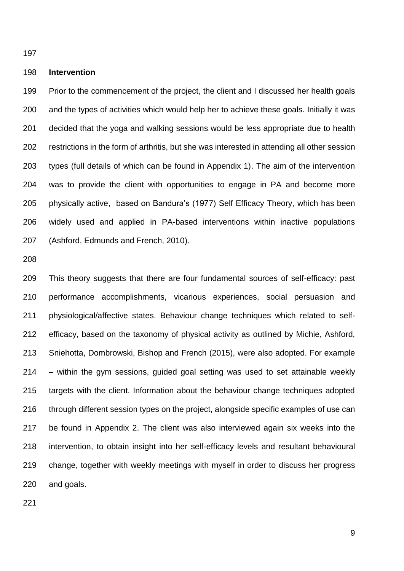#### **Intervention**

 Prior to the commencement of the project, the client and I discussed her health goals and the types of activities which would help her to achieve these goals. Initially it was decided that the yoga and walking sessions would be less appropriate due to health restrictions in the form of arthritis, but she was interested in attending all other session types (full details of which can be found in Appendix 1). The aim of the intervention was to provide the client with opportunities to engage in PA and become more physically active, based on Bandura's (1977) Self Efficacy Theory, which has been widely used and applied in PA-based interventions within inactive populations (Ashford, Edmunds and French, 2010).

 This theory suggests that there are four fundamental sources of self-efficacy: past performance accomplishments, vicarious experiences, social persuasion and physiological/affective states. Behaviour change techniques which related to self- efficacy, based on the taxonomy of physical activity as outlined by Michie, Ashford, Sniehotta, Dombrowski, Bishop and French (2015), were also adopted. For example – within the gym sessions, guided goal setting was used to set attainable weekly targets with the client. Information about the behaviour change techniques adopted through different session types on the project, alongside specific examples of use can be found in Appendix 2. The client was also interviewed again six weeks into the intervention, to obtain insight into her self-efficacy levels and resultant behavioural change, together with weekly meetings with myself in order to discuss her progress and goals.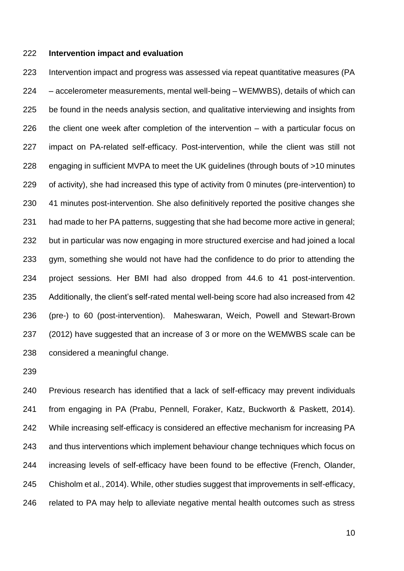#### **Intervention impact and evaluation**

 Intervention impact and progress was assessed via repeat quantitative measures (PA – accelerometer measurements, mental well-being – WEMWBS), details of which can be found in the needs analysis section, and qualitative interviewing and insights from the client one week after completion of the intervention – with a particular focus on impact on PA-related self-efficacy. Post-intervention, while the client was still not engaging in sufficient MVPA to meet the UK guidelines (through bouts of >10 minutes of activity), she had increased this type of activity from 0 minutes (pre-intervention) to 41 minutes post-intervention. She also definitively reported the positive changes she had made to her PA patterns, suggesting that she had become more active in general; but in particular was now engaging in more structured exercise and had joined a local gym, something she would not have had the confidence to do prior to attending the project sessions. Her BMI had also dropped from 44.6 to 41 post-intervention. Additionally, the client's self-rated mental well-being score had also increased from 42 (pre-) to 60 (post-intervention). Maheswaran, Weich, Powell and Stewart-Brown (2012) have suggested that an increase of 3 or more on the WEMWBS scale can be considered a meaningful change.

 Previous research has identified that a lack of self-efficacy may prevent individuals from engaging in PA (Prabu, Pennell, Foraker, Katz, Buckworth & Paskett, 2014). While increasing self-efficacy is considered an effective mechanism for increasing PA and thus interventions which implement behaviour change techniques which focus on increasing levels of self-efficacy have been found to be effective (French, Olander, Chisholm et al., 2014). While, other studies suggest that improvements in self-efficacy, related to PA may help to alleviate negative mental health outcomes such as stress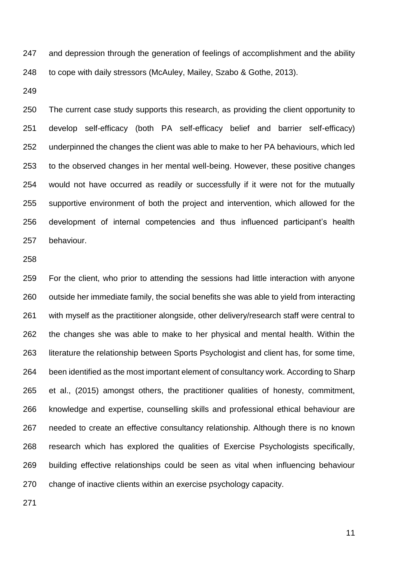247 and depression through the generation of feelings of accomplishment and the ability to cope with daily stressors (McAuley, Mailey, Szabo & Gothe, 2013).

 The current case study supports this research, as providing the client opportunity to develop self-efficacy (both PA self-efficacy belief and barrier self-efficacy) underpinned the changes the client was able to make to her PA behaviours, which led to the observed changes in her mental well-being. However, these positive changes would not have occurred as readily or successfully if it were not for the mutually supportive environment of both the project and intervention, which allowed for the development of internal competencies and thus influenced participant's health behaviour.

 For the client, who prior to attending the sessions had little interaction with anyone outside her immediate family, the social benefits she was able to yield from interacting with myself as the practitioner alongside, other delivery/research staff were central to the changes she was able to make to her physical and mental health. Within the literature the relationship between Sports Psychologist and client has, for some time, been identified as the most important element of consultancy work. According to Sharp et al., (2015) amongst others, the practitioner qualities of honesty, commitment, knowledge and expertise, counselling skills and professional ethical behaviour are needed to create an effective consultancy relationship. Although there is no known research which has explored the qualities of Exercise Psychologists specifically, building effective relationships could be seen as vital when influencing behaviour change of inactive clients within an exercise psychology capacity.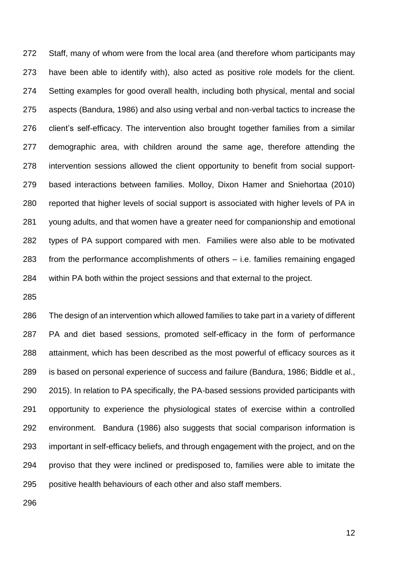Staff, many of whom were from the local area (and therefore whom participants may have been able to identify with), also acted as positive role models for the client. Setting examples for good overall health, including both physical, mental and social aspects (Bandura, 1986) and also using verbal and non-verbal tactics to increase the client's self-efficacy. The intervention also brought together families from a similar demographic area, with children around the same age, therefore attending the intervention sessions allowed the client opportunity to benefit from social support- based interactions between families. Molloy, Dixon Hamer and Sniehortaa (2010) reported that higher levels of social support is associated with higher levels of PA in young adults, and that women have a greater need for companionship and emotional types of PA support compared with men. Families were also able to be motivated from the performance accomplishments of others – i.e. families remaining engaged within PA both within the project sessions and that external to the project.

 The design of an intervention which allowed families to take part in a variety of different PA and diet based sessions, promoted self-efficacy in the form of performance attainment, which has been described as the most powerful of efficacy sources as it is based on personal experience of success and failure (Bandura, 1986; Biddle et al., 2015). In relation to PA specifically, the PA-based sessions provided participants with opportunity to experience the physiological states of exercise within a controlled environment. Bandura (1986) also suggests that social comparison information is important in self-efficacy beliefs, and through engagement with the project, and on the proviso that they were inclined or predisposed to, families were able to imitate the positive health behaviours of each other and also staff members.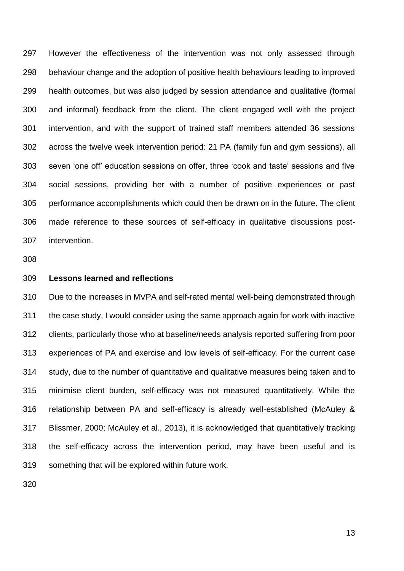However the effectiveness of the intervention was not only assessed through behaviour change and the adoption of positive health behaviours leading to improved health outcomes, but was also judged by session attendance and qualitative (formal and informal) feedback from the client. The client engaged well with the project intervention, and with the support of trained staff members attended 36 sessions across the twelve week intervention period: 21 PA (family fun and gym sessions), all seven 'one off' education sessions on offer, three 'cook and taste' sessions and five social sessions, providing her with a number of positive experiences or past performance accomplishments which could then be drawn on in the future. The client made reference to these sources of self-efficacy in qualitative discussions post-intervention.

- 
- **Lessons learned and reflections**

 Due to the increases in MVPA and self-rated mental well-being demonstrated through the case study, I would consider using the same approach again for work with inactive clients, particularly those who at baseline/needs analysis reported suffering from poor experiences of PA and exercise and low levels of self-efficacy. For the current case study, due to the number of quantitative and qualitative measures being taken and to minimise client burden, self-efficacy was not measured quantitatively. While the relationship between PA and self-efficacy is already well-established (McAuley & Blissmer, 2000; McAuley et al., 2013), it is acknowledged that quantitatively tracking the self-efficacy across the intervention period, may have been useful and is something that will be explored within future work.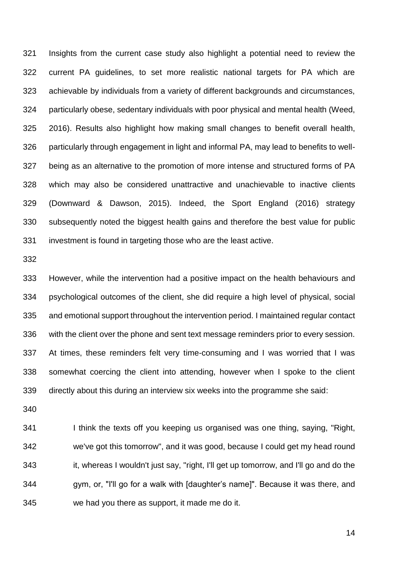Insights from the current case study also highlight a potential need to review the current PA guidelines, to set more realistic national targets for PA which are achievable by individuals from a variety of different backgrounds and circumstances, particularly obese, sedentary individuals with poor physical and mental health (Weed, 2016). Results also highlight how making small changes to benefit overall health, particularly through engagement in light and informal PA, may lead to benefits to well- being as an alternative to the promotion of more intense and structured forms of PA which may also be considered unattractive and unachievable to inactive clients (Downward & Dawson, 2015). Indeed, the Sport England (2016) strategy subsequently noted the biggest health gains and therefore the best value for public investment is found in targeting those who are the least active.

 However, while the intervention had a positive impact on the health behaviours and psychological outcomes of the client, she did require a high level of physical, social and emotional support throughout the intervention period. I maintained regular contact with the client over the phone and sent text message reminders prior to every session. At times, these reminders felt very time-consuming and I was worried that I was somewhat coercing the client into attending, however when I spoke to the client directly about this during an interview six weeks into the programme she said:

 I think the texts off you keeping us organised was one thing, saying, "Right, we've got this tomorrow", and it was good, because I could get my head round it, whereas I wouldn't just say, "right, I'll get up tomorrow, and I'll go and do the gym, or, "I'll go for a walk with [daughter's name]". Because it was there, and we had you there as support, it made me do it.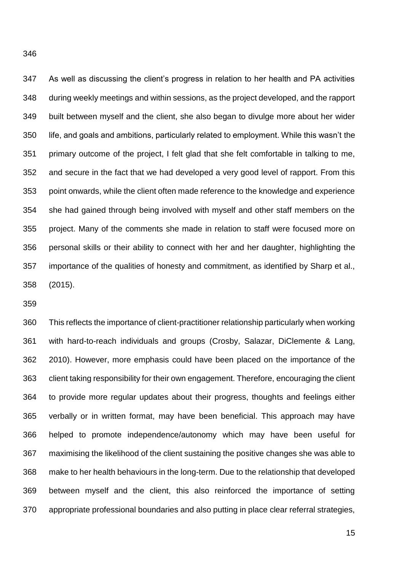As well as discussing the client's progress in relation to her health and PA activities during weekly meetings and within sessions, as the project developed, and the rapport built between myself and the client, she also began to divulge more about her wider life, and goals and ambitions, particularly related to employment. While this wasn't the primary outcome of the project, I felt glad that she felt comfortable in talking to me, and secure in the fact that we had developed a very good level of rapport. From this point onwards, while the client often made reference to the knowledge and experience she had gained through being involved with myself and other staff members on the project. Many of the comments she made in relation to staff were focused more on personal skills or their ability to connect with her and her daughter, highlighting the importance of the qualities of honesty and commitment, as identified by Sharp et al., (2015).

 This reflects the importance of client-practitioner relationship particularly when working with hard-to-reach individuals and groups (Crosby, Salazar, DiClemente & Lang, 2010). However, more emphasis could have been placed on the importance of the client taking responsibility for their own engagement. Therefore, encouraging the client to provide more regular updates about their progress, thoughts and feelings either verbally or in written format, may have been beneficial. This approach may have helped to promote independence/autonomy which may have been useful for maximising the likelihood of the client sustaining the positive changes she was able to make to her health behaviours in the long-term. Due to the relationship that developed between myself and the client, this also reinforced the importance of setting appropriate professional boundaries and also putting in place clear referral strategies,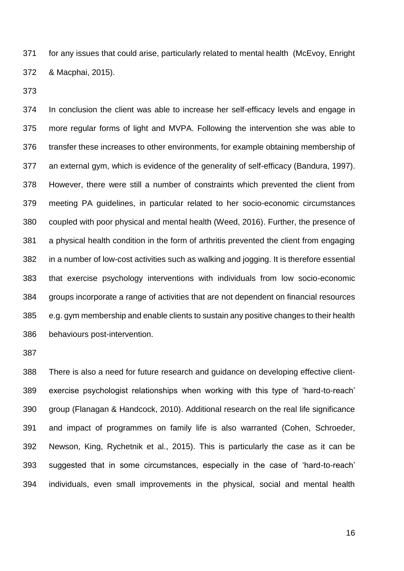for any issues that could arise, particularly related to mental health (McEvoy, Enright & Macphai, 2015).

 In conclusion the client was able to increase her self-efficacy levels and engage in more regular forms of light and MVPA. Following the intervention she was able to transfer these increases to other environments, for example obtaining membership of an external gym, which is evidence of the generality of self-efficacy (Bandura, 1997). However, there were still a number of constraints which prevented the client from meeting PA guidelines, in particular related to her socio-economic circumstances coupled with poor physical and mental health (Weed, 2016). Further, the presence of a physical health condition in the form of arthritis prevented the client from engaging in a number of low-cost activities such as walking and jogging. It is therefore essential that exercise psychology interventions with individuals from low socio-economic groups incorporate a range of activities that are not dependent on financial resources e.g. gym membership and enable clients to sustain any positive changes to their health behaviours post-intervention.

 There is also a need for future research and guidance on developing effective client- exercise psychologist relationships when working with this type of 'hard-to-reach' group (Flanagan & Handcock, 2010). Additional research on the real life significance and impact of programmes on family life is also warranted (Cohen, Schroeder, Newson, King, Rychetnik et al., 2015). This is particularly the case as it can be suggested that in some circumstances, especially in the case of 'hard-to-reach' individuals, even small improvements in the physical, social and mental health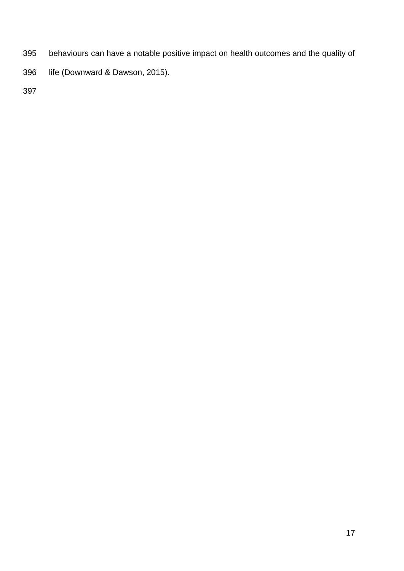- behaviours can have a notable positive impact on health outcomes and the quality of
- life (Downward & Dawson, 2015).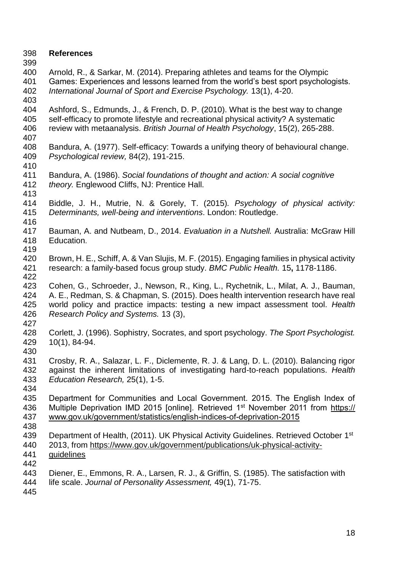- **References**
- 

 Arnold, R., & Sarkar, M. (2014). Preparing athletes and teams for the Olympic Games: Experiences and lessons learned from the world's best sport psychologists. *International Journal of Sport and Exercise Psychology.* 13(1), 4-20.

- Ashford, S., Edmunds, J., & French, D. P. (2010). What is the best way to change self-efficacy to promote lifestyle and recreational physical activity? A systematic review with metaanalysis. *British Journal of Health Psychology*, 15(2), 265-288.
- Bandura, A. (1977). Self-efficacy: Towards a unifying theory of behavioural change. *Psychological review,* 84(2), 191-215.
- Bandura, A. (1986). *Social foundations of thought and action: A social cognitive theory.* Englewood Cliffs, NJ: Prentice Hall.
- Biddle, J. H., Mutrie, N. & Gorely, T. (2015)*. Psychology of physical activity: Determinants, well-being and interventions*. London: Routledge.
- Bauman, A. and Nutbeam, D., 2014. *Evaluation in a Nutshell.* Australia: McGraw Hill Education.
- 419<br>420 Brown, H. E., Schiff, A. & Van Slujis, M. F. (2015). Engaging families in physical activity research: a family-based focus group study. *BMC Public Health.* 15**,** 1178-1186.
- Cohen, G., Schroeder, J., Newson, R., King, L., Rychetnik, L., Milat, A. J., Bauman, A. E., Redman, S. & Chapman, S. (2015). Does health intervention research have real world policy and practice impacts: testing a new impact assessment tool. *Health Research Policy and Systems.* 13 (3),
- 
- Corlett, J. (1996). Sophistry, Socrates, and sport psychology. *The Sport Psychologist.* 10(1), 84-94.
- 
- Crosby, R. A., Salazar, L. F., Diclemente, R. J. & Lang, D. L. (2010). Balancing rigor against the inherent limitations of investigating hard-to-reach populations. *Health Education Research,* 25(1), 1-5.
- 
- Department for Communities and Local Government. 2015. The English Index of 436 Multiple Deprivation IMD 2015 [online]. Retrieved 1<sup>st</sup> November 2011 from [https://](https://www.gov.uk/government/statistics/english-indices-of-deprivation-2015) [www.gov.uk/government/statistics/english-indices-of-deprivation-2015](http://www.gov.uk/government/statistics/english-indices-of-deprivation-2015)
- 439 Department of Health, (2011). UK Physical Activity Guidelines. Retrieved October 1<sup>st</sup> 2013, from [https://www.gov.uk/government/publications/uk-physical-activity-](https://www.gov.uk/government/publications/uk-physical-activity-guidelines)
- [guidelines](https://www.gov.uk/government/publications/uk-physical-activity-guidelines)
- Diener, E., Emmons, R. A., Larsen, R. J., & Griffin, S. (1985). The satisfaction with
- life scale. *Journal of Personality Assessment,* 49(1), 71-75.
-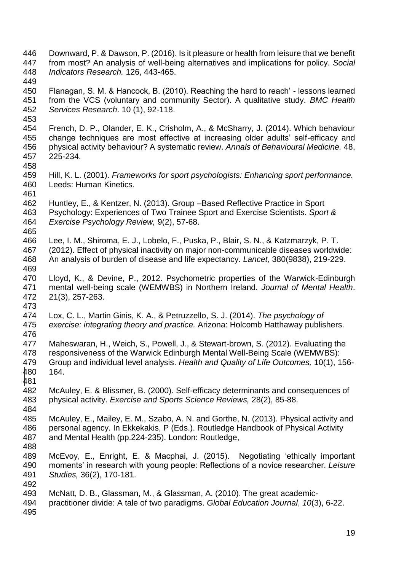- Downward, P. & Dawson, P. (2016). Is it pleasure or health from leisure that we benefit from most? An analysis of well-being alternatives and implications for policy. *Social Indicators Research.* 126, 443-465.
- Flanagan, S. M. & Hancock, B. (2010). Reaching the hard to reach' - lessons learned from the VCS (voluntary and community Sector). A qualitative study. *BMC Health Services Research*. 10 (1), 92-118.
- 
- French, D. P., Olander, E. K., Crisholm, A., & McSharry, J. (2014). Which behaviour change techniques are most effective at increasing older adults' self-efficacy and physical activity behaviour? A systematic review. *Annals of Behavioural Medicine.* 48, 225-234.
- 
- Hill, K. L. (2001). *Frameworks for sport psychologists: Enhancing sport performance.*  Leeds: Human Kinetics.
- Huntley, E., & Kentzer, N. (2013). Group –Based Reflective Practice in Sport Psychology: Experiences of Two Trainee Sport and Exercise Scientists. *Sport & Exercise Psychology Review,* 9(2), 57-68.
- Lee, I. M., Shiroma, E. J., Lobelo, F., Puska, P., Blair, S. N., & Katzmarzyk, P. T. (2012). Effect of physical inactivity on major non-communicable diseases worldwide: An analysis of burden of disease and life expectancy. *Lancet,* 380(9838), 219-229.
- Lloyd, K., & Devine, P., 2012. Psychometric properties of the Warwick-Edinburgh mental well-being scale (WEMWBS) in Northern Ireland. *Journal of Mental Health*. 21(3), 257-263.
- 
- Lox, C. L., Martin Ginis, K. A., & Petruzzello, S. J. (2014). *The psychology of exercise: integrating theory and practice.* Arizona: Holcomb Hatthaway publishers.
- Maheswaran, H., Weich, S., Powell, J., & Stewart-brown, S. (2012). Evaluating the responsiveness of the Warwick Edinburgh Mental Well-Being Scale (WEMWBS): Group and individual level analysis. *Health and Quality of Life Outcomes,* 10(1), 156- 164.
- McAuley, E. & Blissmer, B. (2000). Self-efficacy determinants and consequences of physical activity. *Exercise and Sports Science Reviews,* 28(2), 85-88.
- McAuley, E., Mailey, E. M., Szabo, A. N. and Gorthe, N. (2013). Physical activity and 486 personal agency. In Ekkekakis, P (Eds.). Routledge Handbook of Physical Activity<br>487 and Mental Health (pp.224-235). London: Routledge, and Mental Health (pp.224-235). London: Routledge,
- 
- McEvoy, E., Enright, E. & Macphai, J. (2015). Negotiating 'ethically important moments' in research with young people: Reflections of a novice researcher. *Leisure Studies,* 36(2), 170-181.
- McNatt, D. B., Glassman, M., & Glassman, A. (2010). The great academic-
- practitioner divide: A tale of two paradigms. *Global Education Journal*, *10*(3), 6-22.
-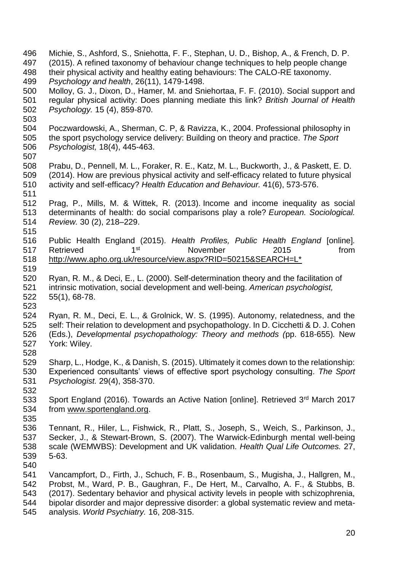Michie, S., Ashford, S., Sniehotta, F. F., Stephan, U. D., Bishop, A., & French, D. P. (2015). A refined taxonomy of behaviour change techniques to help people change their physical activity and healthy eating behaviours: The CALO-RE taxonomy. *Psychology and health*, 26(11), 1479-1498. Molloy, G. J., Dixon, D., Hamer, M. and Sniehortaa, F. F. (2010). Social support and regular physical activity: Does planning mediate this link? *British Journal of Health Psychology.* 15 (4), 859-870. Poczwardowski, A., Sherman, C. P, & Ravizza, K., 2004. Professional philosophy in the sport psychology service delivery: Building on theory and practice. *The Sport Psychologist,* 18(4), 445-463. Prabu, D., Pennell, M. L., Foraker, R. E., Katz, M. L., Buckworth, J., & Paskett, E. D. (2014). How are previous physical activity and self-efficacy related to future physical activity and self-efficacy? *Health Education and Behaviour.* 41(6), 573-576. Prag, P., Mills, M. & Wittek, R. (2013). Income and income inequality as social determinants of health: do social comparisons play a role? *European. Sociological. Review.* 30 (2), 218–229. Public Health England (2015). *Health Profiles, Public Health England* [online]*.*  517 Retrieved 1<sup>st</sup> 1 November 2015 from [http://www.apho.org.uk/resource/view.aspx?RID=50215&SEARCH=L\\*](http://www.apho.org.uk/resource/view.aspx?RID=50215&SEARCH=L*) Ryan, R. M., & Deci, E., L. (2000). Self-determination theory and the facilitation of intrinsic motivation, social development and well-being. *American psychologist,*  55(1), 68-78. Ryan, R. M., Deci, E. L., & Grolnick, W. S. (1995). Autonomy, relatedness, and the self: Their relation to development and psychopathology. In D. Cicchetti & D. J. Cohen (Eds.), *Developmental psychopathology: Theory and methods (*pp. 618-655)*.* New York: Wiley. Sharp, L., Hodge, K., & Danish, S. (2015). Ultimately it comes down to the relationship: Experienced consultants' views of effective sport psychology consulting. *The Sport Psychologist.* 29(4), 358-370. 533 Sport England (2016). Towards an Active Nation [online]. Retrieved  $3<sup>rd</sup>$  March 2017 from [www.sportengland.org.](http://www.sportengland.org/) Tennant, R., Hiler, L., Fishwick, R., Platt, S., Joseph, S., Weich, S., Parkinson, J., Secker, J., & Stewart-Brown, S. (2007). The Warwick-Edinburgh mental well-being scale (WEMWBS): Development and UK validation. *Health Qual Life Outcomes.* 27, 5-63. Vancampfort, D., Firth, J., Schuch, F. B., Rosenbaum, S., Mugisha, J., Hallgren, M., Probst, M., Ward, P. B., Gaughran, F., De Hert, M., Carvalho, A. F., & Stubbs, B. (2017). Sedentary behavior and physical activity levels in people with schizophrenia, bipolar disorder and major depressive disorder: a global systematic review and meta-analysis. *World Psychiatry.* 16, 208-315.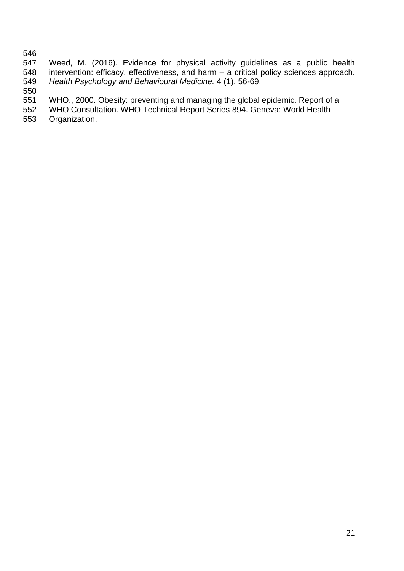546<br>547 Weed, M. (2016). Evidence for physical activity guidelines as a public health intervention: efficacy, effectiveness, and harm – a critical policy sciences approach. *Health Psychology and Behavioural Medicine.* 4 (1), 56-69.

 [WHO., 2000. Obesity: preventing and managing the global epidemic. Report of a](http://whqlibdoc.who.int/trs/WHO_TRS_894.pdf) 

[WHO Consultation. WHO Technical Report Series](http://whqlibdoc.who.int/trs/WHO_TRS_894.pdf) 894. Geneva: World Health

[Organization.](http://whqlibdoc.who.int/trs/WHO_TRS_894.pdf)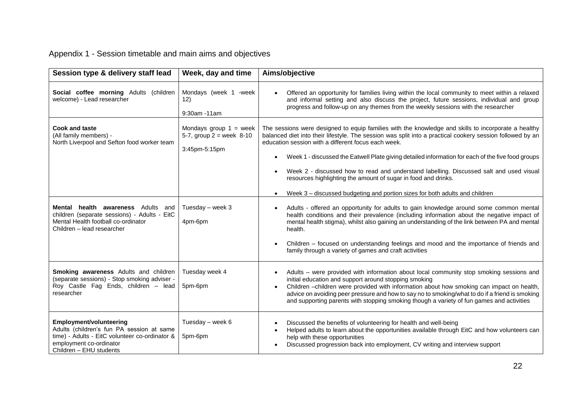# Appendix 1 - Session timetable and main aims and objectives

| Session type & delivery staff lead                                                                                                                                                  | Week, day and time                                                      | Aims/objective                                                                                                                                                                                                                                                                                                                                                                                                                                                                                                                                                                                                                                     |
|-------------------------------------------------------------------------------------------------------------------------------------------------------------------------------------|-------------------------------------------------------------------------|----------------------------------------------------------------------------------------------------------------------------------------------------------------------------------------------------------------------------------------------------------------------------------------------------------------------------------------------------------------------------------------------------------------------------------------------------------------------------------------------------------------------------------------------------------------------------------------------------------------------------------------------------|
| Social coffee morning Adults (children<br>welcome) - Lead researcher                                                                                                                | Mondays (week 1 -week<br>12)<br>9:30am -11am                            | Offered an opportunity for families living within the local community to meet within a relaxed<br>and informal setting and also discuss the project, future sessions, individual and group<br>progress and follow-up on any themes from the weekly sessions with the researcher                                                                                                                                                                                                                                                                                                                                                                    |
| <b>Cook and taste</b><br>(All family members) -<br>North Liverpool and Sefton food worker team                                                                                      | Mondays group $1 =$ week<br>5-7, group $2 =$ week 8-10<br>3:45pm-5:15pm | The sessions were designed to equip families with the knowledge and skills to incorporate a healthy<br>balanced diet into their lifestyle. The session was split into a practical cookery session followed by an<br>education session with a different focus each week.<br>Week 1 - discussed the Eatwell Plate giving detailed information for each of the five food groups<br>$\bullet$<br>Week 2 - discussed how to read and understand labelling. Discussed salt and used visual<br>resources highlighting the amount of sugar in food and drinks.<br>Week 3 - discussed budgeting and portion sizes for both adults and children<br>$\bullet$ |
| Mental health awareness Adults and<br>children (separate sessions) - Adults - EitC<br>Mental Health football co-ordinator<br>Children - lead researcher                             | Tuesday - week 3<br>4pm-6pm                                             | Adults - offered an opportunity for adults to gain knowledge around some common mental<br>health conditions and their prevalence (including information about the negative impact of<br>mental health stigma), whilst also gaining an understanding of the link between PA and mental<br>health.<br>Children - focused on understanding feelings and mood and the importance of friends and<br>family through a variety of games and craft activities                                                                                                                                                                                              |
| <b>Smoking awareness</b> Adults and children<br>(separate sessions) - Stop smoking adviser -<br>Roy Castle Fag Ends, children - lead<br>researcher                                  | Tuesday week 4<br>5pm-6pm                                               | Adults – were provided with information about local community stop smoking sessions and<br>initial education and support around stopping smoking<br>Children -children were provided with information about how smoking can impact on health,<br>$\bullet$<br>advice on avoiding peer pressure and how to say no to smoking/what to do if a friend is smoking<br>and supporting parents with stopping smoking though a variety of fun games and activities                                                                                                                                                                                         |
| <b>Employment/volunteering</b><br>Adults (children's fun PA session at same<br>time) - Adults - EitC volunteer co-ordinator &<br>employment co-ordinator<br>Children - EHU students | Tuesday - week 6<br>5pm-6pm                                             | Discussed the benefits of volunteering for health and well-being<br>$\bullet$<br>Helped adults to learn about the opportunities available through EitC and how volunteers can<br>$\bullet$<br>help with these opportunities<br>Discussed progression back into employment, CV writing and interview support<br>$\bullet$                                                                                                                                                                                                                                                                                                                           |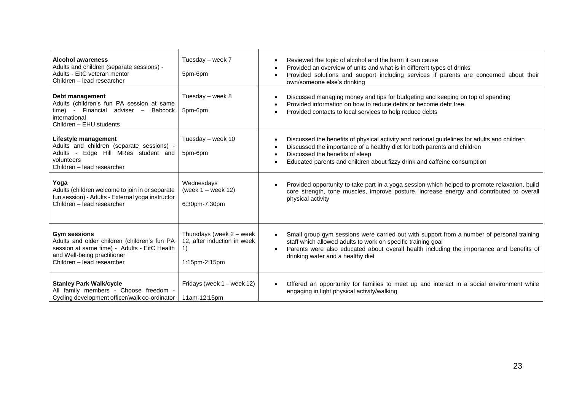| <b>Alcohol awareness</b><br>Adults and children (separate sessions) -<br>Adults - EitC veteran mentor<br>Children - lead researcher                                              | Tuesday – week 7<br>5pm-6pm                                                    | Reviewed the topic of alcohol and the harm it can cause<br>Provided an overview of units and what is in different types of drinks<br>Provided solutions and support including services if parents are concerned about their<br>$\bullet$<br>own/someone else's drinking                                 |
|----------------------------------------------------------------------------------------------------------------------------------------------------------------------------------|--------------------------------------------------------------------------------|---------------------------------------------------------------------------------------------------------------------------------------------------------------------------------------------------------------------------------------------------------------------------------------------------------|
| Debt management<br>Adults (children's fun PA session at same<br>time) - Financial adviser –<br>Babcock<br>international<br>Children - EHU students                               | Tuesday - week 8<br>5pm-6pm                                                    | Discussed managing money and tips for budgeting and keeping on top of spending<br>Provided information on how to reduce debts or become debt free<br>Provided contacts to local services to help reduce debts<br>$\bullet$                                                                              |
| Lifestyle management<br>Adults and children (separate sessions) -<br>Adults - Edge Hill MRes student and<br>volunteers<br>Children - lead researcher                             | Tuesday - week 10<br>5pm-6pm                                                   | Discussed the benefits of physical activity and national guidelines for adults and children<br>Discussed the importance of a healthy diet for both parents and children<br>Discussed the benefits of sleep<br>Educated parents and children about fizzy drink and caffeine consumption                  |
| Yoga<br>Adults (children welcome to join in or separate<br>fun session) - Adults - External yoga instructor<br>Children - lead researcher                                        | Wednesdays<br>(week $1 -$ week $12$ )<br>6:30pm-7:30pm                         | Provided opportunity to take part in a yoga session which helped to promote relaxation, build<br>core strength, tone muscles, improve posture, increase energy and contributed to overall<br>physical activity                                                                                          |
| <b>Gym sessions</b><br>Adults and older children (children's fun PA<br>session at same time) - Adults - EitC Health<br>and Well-being practitioner<br>Children - lead researcher | Thursdays (week 2 - week<br>12. after induction in week<br>1)<br>1:15pm-2:15pm | Small group gym sessions were carried out with support from a number of personal training<br>staff which allowed adults to work on specific training goal<br>Parents were also educated about overall health including the importance and benefits of<br>$\bullet$<br>drinking water and a healthy diet |
| <b>Stanley Park Walk/cycle</b><br>All family members - Choose freedom -<br>Cycling development officer/walk co-ordinator                                                         | Fridays (week 1 – week 12)<br>11am-12:15pm                                     | Offered an opportunity for families to meet up and interact in a social environment while<br>engaging in light physical activity/walking                                                                                                                                                                |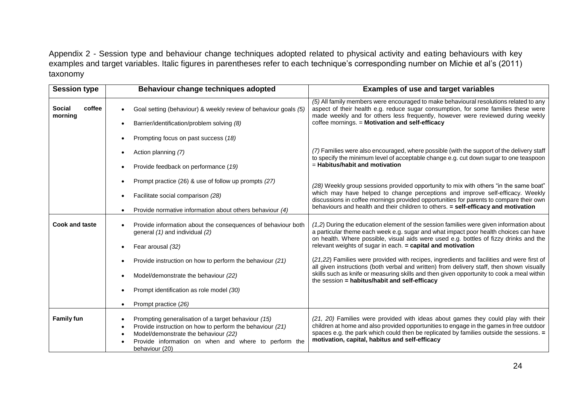Appendix 2 - Session type and behaviour change techniques adopted related to physical activity and eating behaviours with key examples and target variables. Italic figures in parentheses refer to each technique's corresponding number on Michie et al's (2011) taxonomy

| <b>Session type</b>                | Behaviour change techniques adopted                                                                                                                                                                                                            | <b>Examples of use and target variables</b>                                                                                                                                                                                                                                                                                          |
|------------------------------------|------------------------------------------------------------------------------------------------------------------------------------------------------------------------------------------------------------------------------------------------|--------------------------------------------------------------------------------------------------------------------------------------------------------------------------------------------------------------------------------------------------------------------------------------------------------------------------------------|
| <b>Social</b><br>coffee<br>morning | Goal setting (behaviour) & weekly review of behaviour goals (5)<br>Barrier/identification/problem solving (8)                                                                                                                                  | (5) All family members were encouraged to make behavioural resolutions related to any<br>aspect of their health e.g. reduce sugar consumption, for some families these were<br>made weekly and for others less frequently, however were reviewed during weekly<br>coffee mornings. = Motivation and self-efficacy                    |
|                                    | Prompting focus on past success (18)                                                                                                                                                                                                           |                                                                                                                                                                                                                                                                                                                                      |
|                                    | Action planning (7)                                                                                                                                                                                                                            | (7) Families were also encouraged, where possible (with the support of the delivery staff<br>to specify the minimum level of acceptable change e.g. cut down sugar to one teaspoon<br>$=$ Habitus/habit and motivation                                                                                                               |
|                                    | Provide feedback on performance (19)                                                                                                                                                                                                           |                                                                                                                                                                                                                                                                                                                                      |
|                                    | Prompt practice (26) & use of follow up prompts (27)                                                                                                                                                                                           | (28) Weekly group sessions provided opportunity to mix with others "in the same boat"                                                                                                                                                                                                                                                |
|                                    | Facilitate social comparison (28)                                                                                                                                                                                                              | which may have helped to change perceptions and improve self-efficacy. Weekly<br>discussions in coffee mornings provided opportunities for parents to compare their own                                                                                                                                                              |
|                                    | Provide normative information about others behaviour (4)                                                                                                                                                                                       | behaviours and health and their children to others. = self-efficacy and motivation                                                                                                                                                                                                                                                   |
| Cook and taste                     | Provide information about the consequences of behaviour both<br>general (1) and individual (2)                                                                                                                                                 | $(1,2)$ During the education element of the session families were given information about<br>a particular theme each week e.g. sugar and what impact poor health choices can have<br>on health. Where possible, visual aids were used e.g. bottles of fizzy drinks and the                                                           |
|                                    | Fear arousal (32)                                                                                                                                                                                                                              | relevant weights of sugar in each. = capital and motivation                                                                                                                                                                                                                                                                          |
|                                    | Provide instruction on how to perform the behaviour (21)                                                                                                                                                                                       | (21,22) Families were provided with recipes, ingredients and facilities and were first of<br>all given instructions (both verbal and written) from delivery staff, then shown visually<br>skills such as knife or measuring skills and then given opportunity to cook a meal within<br>the session = habitus/habit and self-efficacy |
|                                    | Model/demonstrate the behaviour (22)                                                                                                                                                                                                           |                                                                                                                                                                                                                                                                                                                                      |
|                                    | Prompt identification as role model (30)                                                                                                                                                                                                       |                                                                                                                                                                                                                                                                                                                                      |
|                                    | Prompt practice (26)<br>$\bullet$                                                                                                                                                                                                              |                                                                                                                                                                                                                                                                                                                                      |
| <b>Family fun</b>                  | Prompting generalisation of a target behaviour (15)<br>$\bullet$<br>Provide instruction on how to perform the behaviour (21)<br>Model/demonstrate the behaviour (22)<br>Provide information on when and where to perform the<br>behaviour (20) | (21, 20) Families were provided with ideas about games they could play with their<br>children at home and also provided opportunities to engage in the games in free outdoor<br>spaces e.g. the park which could then be replicated by families outside the sessions. =<br>motivation, capital, habitus and self-efficacy            |